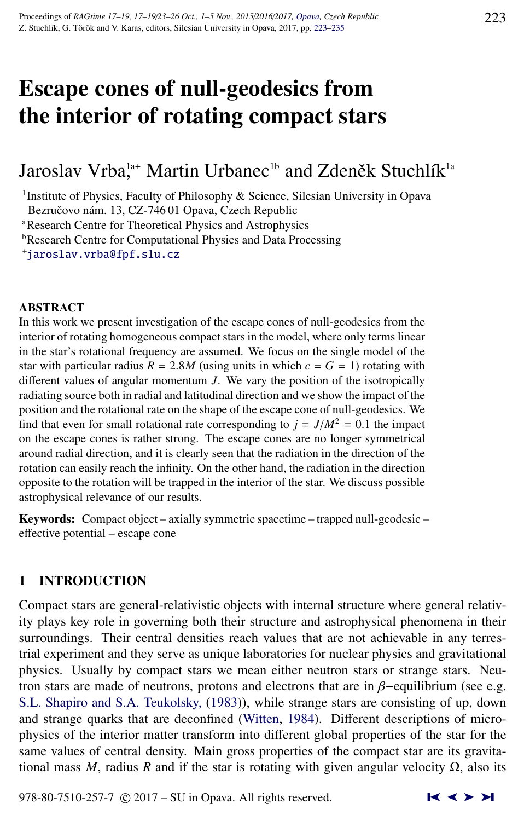# Escape cones of null-geodesics from the interior of rotating compact stars

# Jaroslav Vrba,<sup>1a+</sup> Martin Urbanec<sup>1b</sup> and Zdeněk Stuchlík<sup>1a</sup>

<sup>1</sup>Institute of Physics, Faculty of Philosophy & Science, Silesian University in Opava Bezručovo nám. 13, CZ-746 01 Opava, Czech Republic

<sup>a</sup>Research Centre for Theoretical Physics and Astrophysics

**bResearch Centre for Computational Physics and Data Processing** 

<sup>+</sup>[jaroslav.vrba@fpf.slu.cz](http://www.physics.cz/ jaroslav.vrba@fpf.slu.cz)

## ABSTRACT

In this work we present investigation of the escape cones of null-geodesics from the interior of rotating homogeneous compact stars in the model, where only terms linear in the star's rotational frequency are assumed. We focus on the single model of the star with particular radius  $R = 2.8M$  (using units in which  $c = G = 1$ ) rotating with different values of angular momentum *J*. We vary the position of the isotropically radiating source both in radial and latitudinal direction and we show the impact of the position and the rotational rate on the shape of the escape cone of null-geodesics. We find that even for small rotational rate corresponding to  $j = J/M^2 = 0.1$  the impact on the escape cones is rather strong. The escape cones are no longer symmetrical around radial direction, and it is clearly seen that the radiation in the direction of the rotation can easily reach the infinity. On the other hand, the radiation in the direction opposite to the rotation will be trapped in the interior of the star. We discuss possible astrophysical relevance of our results.

Keywords: Compact object – axially symmetric spacetime – trapped null-geodesic – effective potential – escape cone

# 1 INTRODUCTION

Compact stars are general-relativistic objects with internal structure where general relativity plays key role in governing both their structure and astrophysical phenomena in their surroundings. Their central densities reach values that are not achievable in any terrestrial experiment and they serve as unique laboratories for nuclear physics and gravitational physics. Usually by compact stars we mean either neutron stars or strange stars. Neutron stars are made of neutrons, protons and electrons that are in  $\beta$ -equilibrium (see e.g. [S.L. Shapiro and S.A. Teukolsky,](#page-12-0) [\(1983\)](#page-12-0)), while strange stars are consisting of up, down and strange quarks that are deconfined [\(Witten,](#page-12-0) [1984\)](#page-12-0). Different descriptions of microphysics of the interior matter transform into different global properties of the star for the same values of central density. Main gross properties of the compact star are its gravitational mass *M*, radius *R* and if the star is rotating with given angular velocity  $\Omega$ , also its

978-80-7510-257-7  $\odot$  2017 – SU in Opava. All rights reserved.  $\blacksquare$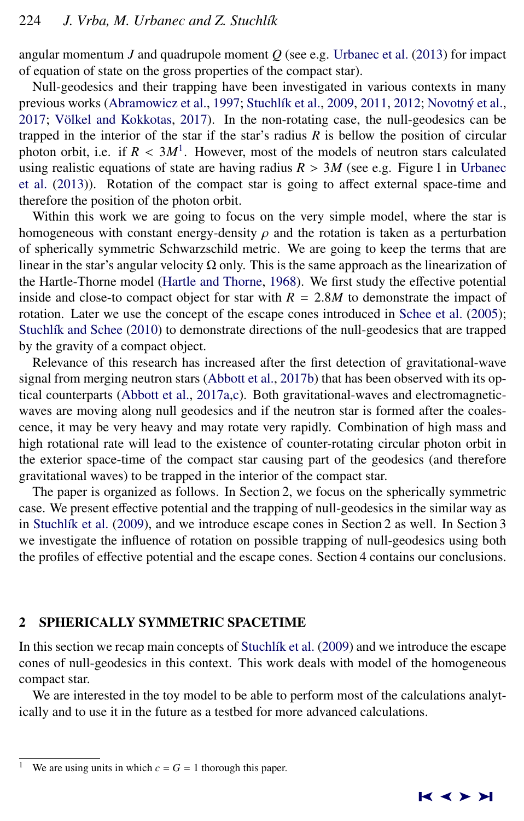angular momentum  $J$  and quadrupole moment  $Q$  (see e.g. [Urbanec et al.](#page-12-0) [\(2013\)](#page-12-0) for impact of equation of state on the gross properties of the compact star).

Null-geodesics and their trapping have been investigated in various contexts in many previous works [\(Abramowicz et al.,](#page-11-0) [1997;](#page-11-0) Stuchlík et al., [2009,](#page-12-0) [2011,](#page-12-0) [2012;](#page-12-0) Novotný et al.,  $2017$ ; Völkel and Kokkotas,  $2017$ ). In the non-rotating case, the null-geodesics can be trapped in the interior of the star if the star's radius *R* is bellow the position of circular photon orbit, i.e. if  $R < 3M<sup>1</sup>$ . However, most of the models of neutron stars calculated<br>using realistic equations of state are having radius  $R > 3M$  (see e.g. Figure 1 in Urbanec using realistic equations of state are having radius  $R > 3M$  (see e.g. Figure 1 in [Urbanec](#page-12-0) [et al.](#page-12-0) [\(2013\)](#page-12-0)). Rotation of the compact star is going to affect external space-time and therefore the position of the photon orbit.

Within this work we are going to focus on the very simple model, where the star is homogeneous with constant energy-density  $\rho$  and the rotation is taken as a perturbation of spherically symmetric Schwarzschild metric. We are going to keep the terms that are linear in the star's angular velocity  $\Omega$  only. This is the same approach as the linearization of the Hartle-Thorne model [\(Hartle and Thorne,](#page-11-0) [1968\)](#page-11-0). We first study the effective potential inside and close-to compact object for star with  $R = 2.8M$  to demonstrate the impact of rotation. Later we use the concept of the escape cones introduced in [Schee et al.](#page-12-0) [\(2005\)](#page-12-0); Stuchlík and Schee [\(2010\)](#page-12-0) to demonstrate directions of the null-geodesics that are trapped by the gravity of a compact object.

Relevance of this research has increased after the first detection of gravitational-wave signal from merging neutron stars [\(Abbott et al.,](#page-11-0) [2017b\)](#page-11-0) that has been observed with its optical counterparts [\(Abbott et al.,](#page-11-0) [2017a,c\)](#page-11-0). Both gravitational-waves and electromagneticwaves are moving along null geodesics and if the neutron star is formed after the coalescence, it may be very heavy and may rotate very rapidly. Combination of high mass and high rotational rate will lead to the existence of counter-rotating circular photon orbit in the exterior space-time of the compact star causing part of the geodesics (and therefore gravitational waves) to be trapped in the interior of the compact star.

The paper is organized as follows. In Section 2, we focus on the spherically symmetric case. We present effective potential and the trapping of null-geodesics in the similar way as in Stuchlík et al. [\(2009\)](#page-12-0), and we introduce escape cones in Section 2 as well. In Section 3 we investigate the influence of rotation on possible trapping of null-geodesics using both the profiles of effective potential and the escape cones. Section 4 contains our conclusions.

#### 2 SPHERICALLY SYMMETRIC SPACETIME

In this section we recap main concepts of Stuchlík et al. [\(2009\)](#page-12-0) and we introduce the escape cones of null-geodesics in this context. This work deals with model of the homogeneous compact star.

We are interested in the toy model to be able to perform most of the calculations analytically and to use it in the future as a testbed for more advanced calculations.

We are using units in which  $c = G = 1$  thorough this paper.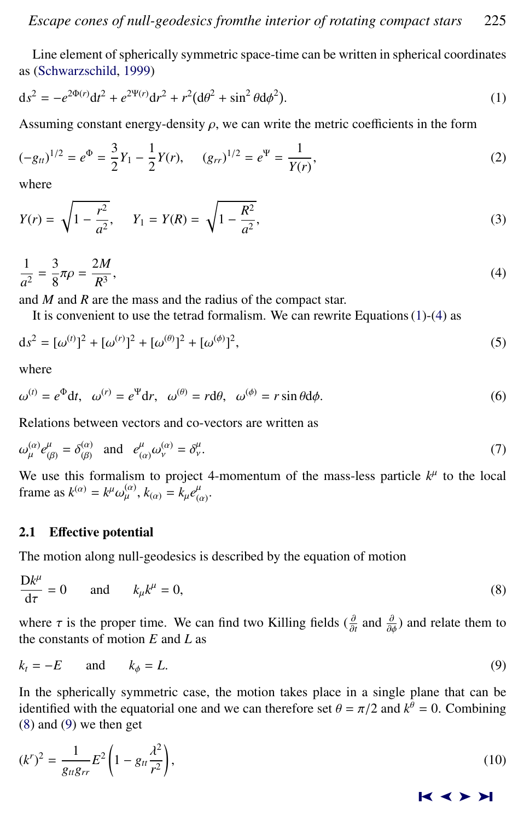<span id="page-2-0"></span>Line element of spherically symmetric space-time can be written in spherical coordinates as [\(Schwarzschild,](#page-12-0) [1999\)](#page-12-0)

$$
ds^{2} = -e^{2\Phi(r)}dt^{2} + e^{2\Psi(r)}dr^{2} + r^{2}(d\theta^{2} + \sin^{2}\theta d\phi^{2}).
$$
\n(1)

Assuming constant energy-density  $\rho$ , we can write the metric coefficients in the form

$$
(-g_{tt})^{1/2} = e^{\Phi} = \frac{3}{2}Y_1 - \frac{1}{2}Y(r), \qquad (g_{rr})^{1/2} = e^{\Psi} = \frac{1}{Y(r)},
$$
\n(2)

where

$$
Y(r) = \sqrt{1 - \frac{r^2}{a^2}}, \qquad Y_1 = Y(R) = \sqrt{1 - \frac{R^2}{a^2}},
$$
\n(3)

$$
\frac{1}{a^2} = \frac{3}{8}\pi\rho = \frac{2M}{R^3},\tag{4}
$$

and *M* and *R* are the mass and the radius of the compact star.

It is convenient to use the tetrad formalism. We can rewrite Equations  $(1)-(4)$  as

$$
ds^{2} = [\omega^{(t)}]^{2} + [\omega^{(r)}]^{2} + [\omega^{(\theta)}]^{2} + [\omega^{(\phi)}]^{2},
$$
\n(5)

where

$$
\omega^{(t)} = e^{\Phi} dt, \quad \omega^{(r)} = e^{\Psi} dr, \quad \omega^{(\theta)} = r d\theta, \quad \omega^{(\phi)} = r \sin \theta d\phi. \tag{6}
$$

Relations between vectors and co-vectors are written as

$$
\omega_{\mu}^{(\alpha)} e_{(\beta)}^{\mu} = \delta_{(\beta)}^{(\alpha)} \quad \text{and} \quad e_{(\alpha)}^{\mu} \omega_{\nu}^{(\alpha)} = \delta_{\nu}^{\mu}.
$$

We use this formalism to project 4-momentum of the mass-less particle  $k^{\mu}$  to the local frame as  $k^{(\alpha)} = k^{\mu} \omega_{\mu}^{(\alpha)}$ ,  $k_{(\alpha)} = k_{\mu} e_{(\alpha)}^{\mu}$ .

# 2.1 Effective potential

The motion along null-geodesics is described by the equation of motion

$$
\frac{\mathrm{D}k^{\mu}}{\mathrm{d}\tau} = 0 \quad \text{and} \quad k_{\mu}k^{\mu} = 0, \tag{8}
$$

where  $\tau$  is the proper time. We can find two Killing fields ( $\frac{\partial}{\partial t}$  and  $\frac{\partial}{\partial \phi}$ ) and relate them to the constants of motion  $F$  and  $I$  as the constants of motion *E* and *L* as

$$
k_t = -E \quad \text{and} \quad k_\phi = L. \tag{9}
$$

In the spherically symmetric case, the motion takes place in a single plane that can be identified with the equatorial one and we can therefore set  $\theta = \pi/2$  and  $k^{\theta} = 0$ . Combining (8) and (9) we then get (8) and (9) we then get

$$
(k^{r})^{2} = \frac{1}{g_{tt}g_{rr}}E^{2}\left(1 - g_{tt}\frac{\lambda^{2}}{r^{2}}\right),
$$
\n(10)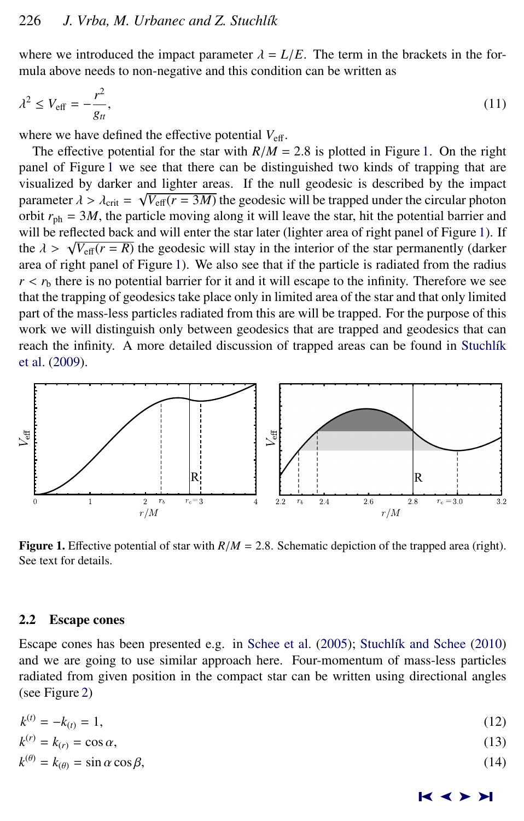<span id="page-3-0"></span>where we introduced the impact parameter  $\lambda = L/E$ . The term in the brackets in the formula above needs to non-negative and this condition can be written as

$$
\lambda^2 \le V_{\text{eff}} = -\frac{r^2}{g_{tt}},\tag{11}
$$

where we have defined the effective potential  $V_{\text{eff}}$ .

The effective potential for the star with  $R/M = 2.8$  is plotted in Figure 1. On the right panel of Figure 1 we see that there can be distinguished two kinds of trapping that are visualized by darker and lighter areas. If the null geodesic is described by the impact parameter  $\lambda > \lambda_{\text{crit}} = \sqrt{V_{\text{eff}}(r = 3M)}$  the geodesic will be trapped under the circular photon orbit  $r_{\text{eff}} = 3M$ , the particle moving along it will leave the star, bit the potential barrier and orbit  $r_{ph} = 3M$ , the particle moving along it will leave the star, hit the potential barrier and will be reflected back and will enter the star later (lighter area of right panel of Figure 1). If will be reflected back and will enter the star later (fighter area of right panel of rigure 1). If<br>the  $\lambda > \sqrt{V_{\text{eff}}(r = R)}$  the geodesic will stay in the interior of the star permanently (darker<br>area of right panel of Fig area of right panel of Figure 1). We also see that if the particle is radiated from the radius  $r < r<sub>b</sub>$  there is no potential barrier for it and it will escape to the infinity. Therefore we see that the trapping of geodesics take place only in limited area of the star and that only limited part of the mass-less particles radiated from this are will be trapped. For the purpose of this work we will distinguish only between geodesics that are trapped and geodesics that can reach the infinity. A more detailed discussion of trapped areas can be found in Stuchlík [et al.](#page-12-0) [\(2009\)](#page-12-0).



**Figure 1.** Effective potential of star with  $R/M = 2.8$ . Schematic depiction of the trapped area (right). See text for details.

#### 2.2 Escape cones

Escape cones has been presented e.g. in [Schee et al.](#page-12-0) [\(2005\)](#page-12-0); Stuchlík and Schee [\(2010\)](#page-12-0) and we are going to use similar approach here. Four-momentum of mass-less particles radiated from given position in the compact star can be written using directional angles (see Figure [2\)](#page-4-0)

| $k^{(t)} = -k_{(t)} = 1$ ,                               | (12) |
|----------------------------------------------------------|------|
| $k^{(r)} = k_{(r)} = \cos \alpha,$                       | (13) |
| $k^{(\theta)} = k_{(\theta)} = \sin \alpha \cos \beta$ , | (14) |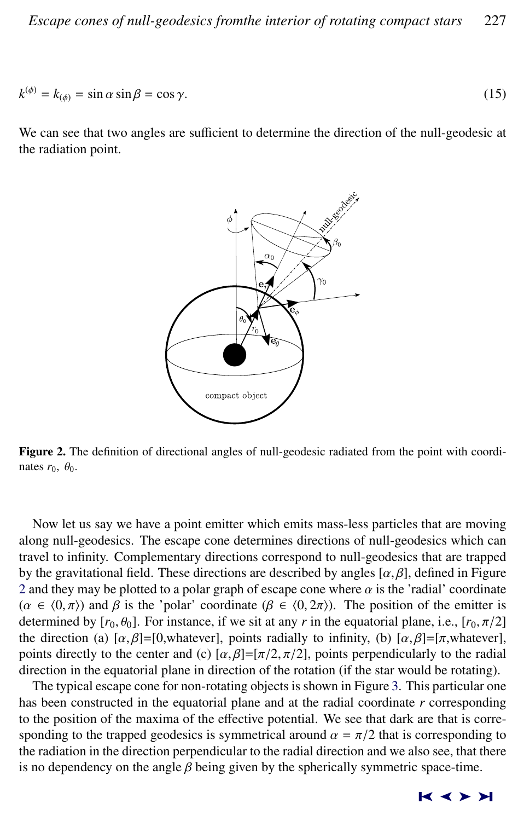<span id="page-4-0"></span>
$$
k^{(\phi)} = k_{(\phi)} = \sin \alpha \sin \beta = \cos \gamma. \tag{15}
$$

We can see that two angles are sufficient to determine the direction of the null-geodesic at the radiation point.



Figure 2. The definition of directional angles of null-geodesic radiated from the point with coordinates  $r_0$ ,  $\theta_0$ .

Now let us say we have a point emitter which emits mass-less particles that are moving along null-geodesics. The escape cone determines directions of null-geodesics which can travel to infinity. Complementary directions correspond to null-geodesics that are trapped by the gravitational field. These directions are described by angles  $[\alpha, \beta]$ , defined in Figure 2 and they may be plotted to a polar graph of escape cone where  $\alpha$  is the 'radial' coordinate  $(\alpha \in (0, \pi))$  and β is the 'polar' coordinate  $(\beta \in (0, 2\pi))$ . The position of the emitter is determined by  $[r_0, \theta_0]$ . For instance, if we sit at any *r* in the equatorial plane, i.e.,  $[r_0, \pi/2]$ the direction (a)  $[\alpha, \beta] = [0, \text{whatever}]$ , points radially to infinity, (b)  $[\alpha, \beta] = [\pi, \text{whatever}]$ , points directly to the center and (c)  $[\alpha, \beta] = [\pi/2, \pi/2]$ , points perpendicularly to the radial direction in the equatorial plane in direction of the rotation (if the star would be rotating).

The typical escape cone for non-rotating objects is shown in Figure [3.](#page-5-0) This particular one has been constructed in the equatorial plane and at the radial coordinate *r* corresponding to the position of the maxima of the effective potential. We see that dark are that is corresponding to the trapped geodesics is symmetrical around  $\alpha = \pi/2$  that is corresponding to the radiation in the direction perpendicular to the radial direction and we also see, that there is no dependency on the angle  $\beta$  being given by the spherically symmetric space-time.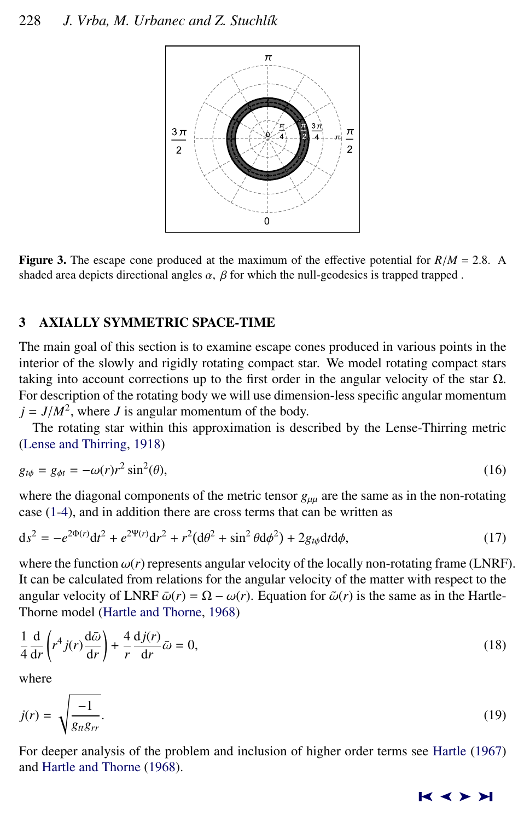<span id="page-5-0"></span>

**Figure 3.** The escape cone produced at the maximum of the effective potential for  $R/M = 2.8$ . A shaded area depicts directional angles  $\alpha$ ,  $\beta$  for which the null-geodesics is trapped trapped.

# 3 AXIALLY SYMMETRIC SPACE-TIME

The main goal of this section is to examine escape cones produced in various points in the interior of the slowly and rigidly rotating compact star. We model rotating compact stars taking into account corrections up to the first order in the angular velocity of the star  $\Omega$ . For description of the rotating body we will use dimension-less specific angular momentum  $j = J/M^2$ , where *J* is angular momentum of the body.<br>The rotating star within this approximation is desired

The rotating star within this approximation is described by the Lense-Thirring metric [\(Lense and Thirring,](#page-12-0) [1918\)](#page-12-0)

$$
g_{t\phi} = g_{\phi t} = -\omega(r)r^2 \sin^2(\theta),\tag{16}
$$

where the diagonal components of the metric tensor  $g_{\mu\mu}$  are the same as in the non-rotating case [\(1-4\)](#page-2-0), and in addition there are cross terms that can be written as

$$
ds^{2} = -e^{2\Phi(r)}dt^{2} + e^{2\Psi(r)}dr^{2} + r^{2}(d\theta^{2} + \sin^{2}\theta d\phi^{2}) + 2g_{t\phi}dtd\phi,
$$
\n(17)

where the function  $\omega(r)$  represents angular velocity of the locally non-rotating frame (LNRF). It can be calculated from relations for the angular velocity of the matter with respect to the angular velocity of LNRF  $\bar{\omega}(r) = \Omega - \omega(r)$ . Equation for  $\tilde{\omega}(r)$  is the same as in the Hartle-Thorne model [\(Hartle and Thorne,](#page-11-0) [1968\)](#page-11-0)

$$
\frac{1}{4}\frac{d}{dr}\left(r^4 j(r)\frac{d\bar{\omega}}{dr}\right) + \frac{4}{r}\frac{dj(r)}{dr}\bar{\omega} = 0,
$$
\n(18)

where

$$
j(r) = \sqrt{\frac{-1}{g_{tt}g_{rr}}}.\tag{19}
$$

For deeper analysis of the problem and inclusion of higher order terms see [Hartle](#page-11-0) [\(1967\)](#page-11-0) and [Hartle and Thorne](#page-11-0) [\(1968\)](#page-11-0).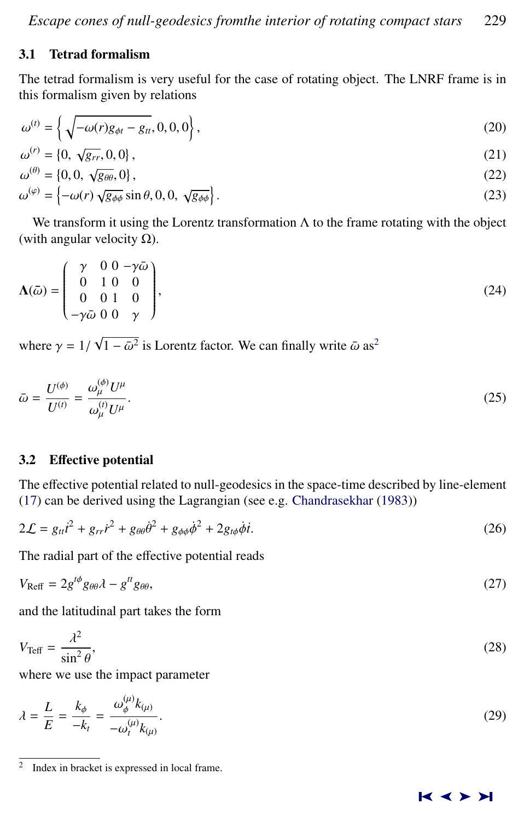# <span id="page-6-0"></span>3.1 Tetrad formalism

The tetrad formalism is very useful for the case of rotating object. The LNRF frame is in this formalism given by relations

$$
\omega^{(t)} = \left\{ \sqrt{-\omega(r)g_{\phi t} - g_{tt}}, 0, 0, 0 \right\},\tag{20}
$$

$$
\omega^{(r)} = \{0, \sqrt{g_{rr}}, 0, 0\},\tag{21}
$$

$$
\omega^{(\theta)} = \{0, 0, \sqrt{g_{\theta\theta}}, 0\},\tag{22}
$$

$$
\omega^{(\varphi)} = \left\{-\omega(r)\sqrt{g_{\phi\phi}}\sin\theta, 0, 0, \sqrt{g_{\phi\phi}}\right\}.
$$
\n(23)

We transform it using the Lorentz transformation  $\Lambda$  to the frame rotating with the object (with angular velocity  $\Omega$ ).

$$
\Lambda(\bar{\omega}) = \begin{pmatrix} \gamma & 0 & 0 & -\gamma \bar{\omega} \\ 0 & 1 & 0 & 0 \\ 0 & 0 & 1 & 0 \\ -\gamma \bar{\omega} & 0 & 0 & \gamma \end{pmatrix},\tag{24}
$$

where  $\gamma = 1/$ √  $\overline{1-\bar{\omega}^2}$  is Lorentz factor. We can finally write  $\bar{\omega}$  as<sup>2</sup>

$$
\bar{\omega} = \frac{U^{(\phi)}}{U^{(t)}} = \frac{\omega_{\mu}^{(\phi)} U^{\mu}}{\omega_{\mu}^{(t)} U^{\mu}}.
$$
\n(25)

# 3.2 Effective potential

The effective potential related to null-geodesics in the space-time described by line-element [\(17\)](#page-5-0) can be derived using the Lagrangian (see e.g. [Chandrasekhar](#page-11-0) [\(1983\)](#page-11-0))

$$
2\mathcal{L} = g_{tt}i^2 + g_{rr}i^2 + g_{\theta\theta}\dot{\theta}^2 + g_{\phi\phi}\dot{\phi}^2 + 2g_{t\phi}\dot{\phi}i.
$$
 (26)

The radial part of the effective potential reads

$$
V_{\text{Reff}} = 2g^{t\phi}g_{\theta\theta}\lambda - g^{tt}g_{\theta\theta},\tag{27}
$$

and the latitudinal part takes the form

$$
V_{\text{Teff}} = \frac{\lambda^2}{\sin^2 \theta},\tag{28}
$$

where we use the impact parameter

$$
\lambda = \frac{L}{E} = \frac{k_{\phi}}{-k_t} = \frac{\omega_{\phi}^{(\mu)} k_{(\mu)}}{-\omega_t^{(\mu)} k_{(\mu)}}.
$$
\n(29)

<sup>2</sup> Index in bracket is expressed in local frame.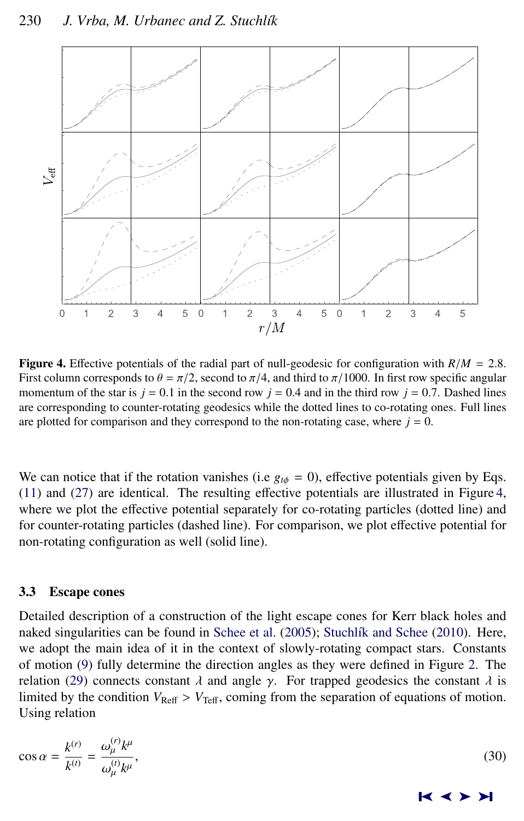<span id="page-7-0"></span>

Figure 4. <sup>E</sup>ffective potentials of the radial part of null-geodesic for configuration with *<sup>R</sup>*/*<sup>M</sup>* <sup>=</sup> <sup>2</sup>.8. First column corresponds to  $\theta = \pi/2$ , second to  $\pi/4$ , and third to  $\pi/1000$ . In first row specific angular momentum of the star is  $j = 0.1$  in the second row  $j = 0.4$  and in the third row  $j = 0.7$ . Dashed lines are corresponding to counter-rotating geodesics while the dotted lines to co-rotating ones. Full lines are plotted for comparison and they correspond to the non-rotating case, where  $j = 0$ .

We can notice that if the rotation vanishes (i.e  $g_{t\phi} = 0$ ), effective potentials given by Eqs. [\(11\)](#page-3-0) and [\(27\)](#page-6-0) are identical. The resulting effective potentials are illustrated in Figure 4, where we plot the effective potential separately for co-rotating particles (dotted line) and for counter-rotating particles (dashed line). For comparison, we plot effective potential for non-rotating configuration as well (solid line).

### 3.3 Escape cones

Detailed description of a construction of the light escape cones for Kerr black holes and naked singularities can be found in [Schee et al.](#page-12-0) [\(2005\)](#page-12-0); Stuchlík and Schee [\(2010\)](#page-12-0). Here, we adopt the main idea of it in the context of slowly-rotating compact stars. Constants of motion [\(9\)](#page-2-0) fully determine the direction angles as they were defined in Figure [2.](#page-4-0) The relation [\(29\)](#page-6-0) connects constant  $\lambda$  and angle  $\gamma$ . For trapped geodesics the constant  $\lambda$  is limited by the condition  $V_{\text{Ref}} > V_{\text{Teff}}$ , coming from the separation of equations of motion. Using relation

$$
\cos \alpha = \frac{k^{(r)}}{k^{(t)}} = \frac{\omega_{\mu}^{(r)} k^{\mu}}{\omega_{\mu}^{(t)} k^{\mu}},
$$
\n(30)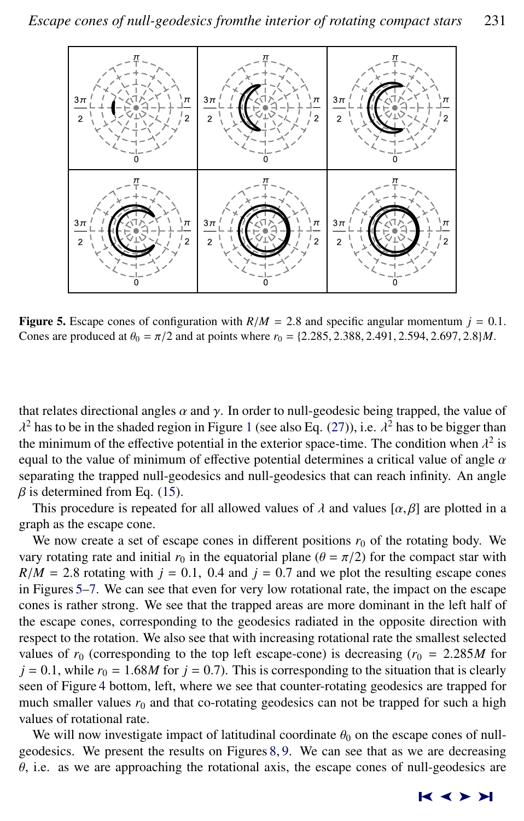

**Figure 5.** Escape cones of configuration with  $R/M = 2.8$  and specific angular momentum  $j = 0.1$ . Cones are produced at  $\theta_0 = \pi/2$  and at points where  $r_0 = \{2.285, 2.388, 2.491, 2.594, 2.697, 2.8\}$ *M*.

that relates directional angles  $\alpha$  and  $\gamma$ . In order to null-geodesic being trapped, the value of the minimum of the effective potential in the exterior space-time. The condition when  $\lambda^2$  is<br>equal to the value of minimum of effective potential determines a critical value of angle  $\alpha$ <sup>2</sup> has to be in the shaded region in Figure [1](#page-3-0) (see also Eq. [\(27\)](#page-6-0)), i.e.  $\lambda^2$  has to be bigger than the exterior space-time. The condition when  $\lambda^2$  is equal to the value of minimum of effective potential determines a critical value of angle  $\alpha$ separating the trapped null-geodesics and null-geodesics that can reach infinity. An angle  $\beta$  is determined from Eq. [\(15\)](#page-4-0).

This procedure is repeated for all allowed values of  $\lambda$  and values  $[\alpha, \beta]$  are plotted in a graph as the escape cone.

We now create a set of escape cones in different positions  $r_0$  of the rotating body. We vary rotating rate and initial  $r_0$  in the equatorial plane ( $\theta = \pi/2$ ) for the compact star with  $R/M = 2.8$  rotating with  $j = 0.1$ , 0.4 and  $j = 0.7$  and we plot the resulting escape cones in Figures 5[–7.](#page-9-0) We can see that even for very low rotational rate, the impact on the escape cones is rather strong. We see that the trapped areas are more dominant in the left half of the escape cones, corresponding to the geodesics radiated in the opposite direction with respect to the rotation. We also see that with increasing rotational rate the smallest selected values of  $r_0$  (corresponding to the top left escape-cone) is decreasing  $(r_0 = 2.285M$  for  $j = 0.1$ , while  $r_0 = 1.68M$  for  $j = 0.7$ ). This is corresponding to the situation that is clearly seen of Figure [4](#page-7-0) bottom, left, where we see that counter-rotating geodesics are trapped for much smaller values  $r_0$  and that co-rotating geodesics can not be trapped for such a high values of rotational rate.

We will now investigate impact of latitudinal coordinate  $\theta_0$  on the escape cones of nullgeodesics. We present the results on Figures [8,](#page-10-0) [9.](#page-10-0) We can see that as we are decreasing  $\theta$ , i.e. as we are approaching the rotational axis, the escape cones of null-geodesics are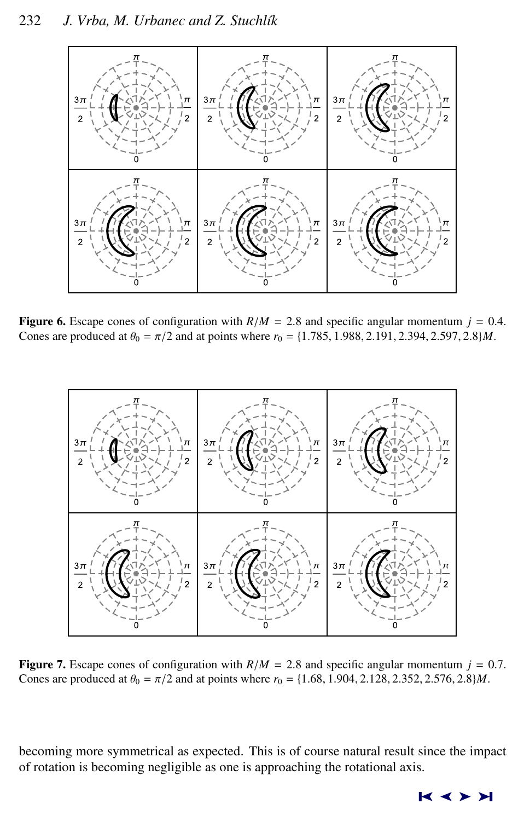<span id="page-9-0"></span>

**Figure 6.** Escape cones of configuration with  $R/M = 2.8$  and specific angular momentum  $j = 0.4$ . Cones are produced at  $\theta_0 = \pi/2$  and at points where  $r_0 = \{1.785, 1.988, 2.191, 2.394, 2.597, 2.8\}$ *M*.



**Figure 7.** Escape cones of configuration with  $R/M = 2.8$  and specific angular momentum  $j = 0.7$ . Cones are produced at  $\theta_0 = \pi/2$  and at points where  $r_0 = \{1.68, 1.904, 2.128, 2.352, 2.576, 2.8\}$ *M*.

becoming more symmetrical as expected. This is of course natural result since the impact of rotation is becoming negligible as one is approaching the rotational axis.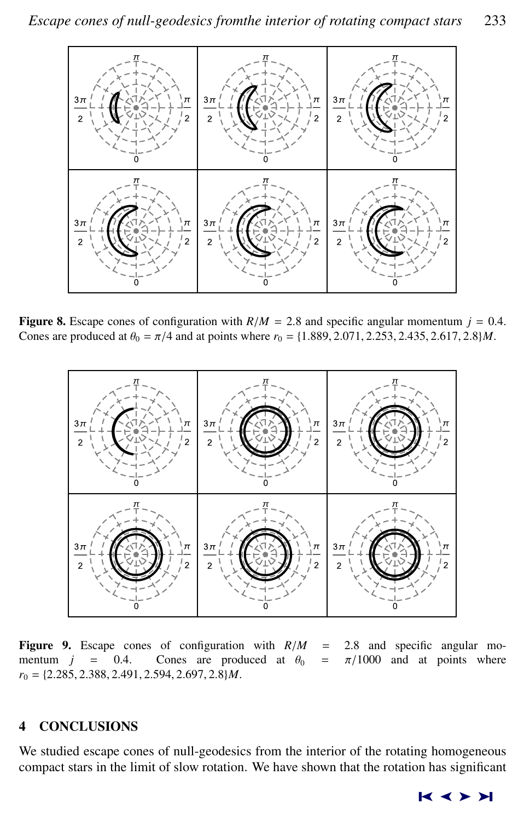<span id="page-10-0"></span>

**Figure 8.** Escape cones of configuration with  $R/M = 2.8$  and specific angular momentum  $j = 0.4$ . Cones are produced at  $\theta_0 = \pi/4$  and at points where  $r_0 = \{1.889, 2.071, 2.253, 2.435, 2.617, 2.8\}$ *M*.



**Figure 9.** Escape cones of configuration with  $R/M = 2.8$  and specific angular mo-<br>mentum  $j = 0.4$ . Cones are produced at  $\theta_0 = \pi/1000$  and at points where  $\pi/1000$  and at points where *<sup>r</sup>*<sup>0</sup> <sup>=</sup> {2.285, <sup>2</sup>.388, <sup>2</sup>.491, <sup>2</sup>.594, <sup>2</sup>.697, <sup>2</sup>.8}*M*.

# 4 CONCLUSIONS

We studied escape cones of null-geodesics from the interior of the rotating homogeneous compact stars in the limit of slow rotation. We have shown that the rotation has significant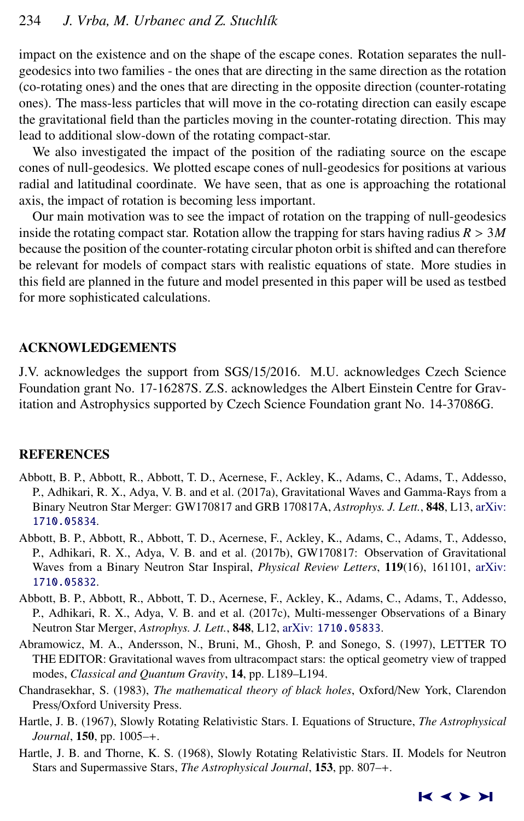<span id="page-11-0"></span>impact on the existence and on the shape of the escape cones. Rotation separates the nullgeodesics into two families - the ones that are directing in the same direction as the rotation (co-rotating ones) and the ones that are directing in the opposite direction (counter-rotating ones). The mass-less particles that will move in the co-rotating direction can easily escape the gravitational field than the particles moving in the counter-rotating direction. This may lead to additional slow-down of the rotating compact-star.

We also investigated the impact of the position of the radiating source on the escape cones of null-geodesics. We plotted escape cones of null-geodesics for positions at various radial and latitudinal coordinate. We have seen, that as one is approaching the rotational axis, the impact of rotation is becoming less important.

Our main motivation was to see the impact of rotation on the trapping of null-geodesics inside the rotating compact star. Rotation allow the trapping for stars having radius  $R > 3M$ because the position of the counter-rotating circular photon orbit is shifted and can therefore be relevant for models of compact stars with realistic equations of state. More studies in this field are planned in the future and model presented in this paper will be used as testbed for more sophisticated calculations.

# ACKNOWLEDGEMENTS

J.V. acknowledges the support from SGS/15/2016. M.U. acknowledges Czech Science Foundation grant No. 17-16287S. Z.S. acknowledges the Albert Einstein Centre for Gravitation and Astrophysics supported by Czech Science Foundation grant No. 14-37086G.

### REFERENCES

- Abbott, B. P., Abbott, R., Abbott, T. D., Acernese, F., Ackley, K., Adams, C., Adams, T., Addesso, P., Adhikari, R. X., Adya, V. B. and et al. (2017a), Gravitational Waves and Gamma-Rays from a Binary Neutron Star Merger: GW170817 and GRB 170817A, *Astrophys. J. Lett.*, 848, L13, [arXiv:](http://www.arxiv.org/abs/1710.05834) [1710.05834](http://www.arxiv.org/abs/1710.05834).
- Abbott, B. P., Abbott, R., Abbott, T. D., Acernese, F., Ackley, K., Adams, C., Adams, T., Addesso, P., Adhikari, R. X., Adya, V. B. and et al. (2017b), GW170817: Observation of Gravitational Waves from a Binary Neutron Star Inspiral, *Physical Review Letters*, 119(16), 161101, [arXiv:](http://www.arxiv.org/abs/1710.05832) [1710.05832](http://www.arxiv.org/abs/1710.05832).
- Abbott, B. P., Abbott, R., Abbott, T. D., Acernese, F., Ackley, K., Adams, C., Adams, T., Addesso, P., Adhikari, R. X., Adya, V. B. and et al. (2017c), Multi-messenger Observations of a Binary Neutron Star Merger, *Astrophys. J. Lett.*, 848, L12, arXiv: [1710.05833](http://www.arxiv.org/abs/1710.05833).
- Abramowicz, M. A., Andersson, N., Bruni, M., Ghosh, P. and Sonego, S. (1997), LETTER TO THE EDITOR: Gravitational waves from ultracompact stars: the optical geometry view of trapped modes, *Classical and Quantum Gravity*, 14, pp. L189–L194.
- Chandrasekhar, S. (1983), *The mathematical theory of black holes*, Oxford/New York, Clarendon Press/Oxford University Press.
- Hartle, J. B. (1967), Slowly Rotating Relativistic Stars. I. Equations of Structure, *The Astrophysical Journal*, 150, pp. 1005–+.
- Hartle, J. B. and Thorne, K. S. (1968), Slowly Rotating Relativistic Stars. II. Models for Neutron Stars and Supermassive Stars, *The Astrophysical Journal*, 153, pp. 807–+.